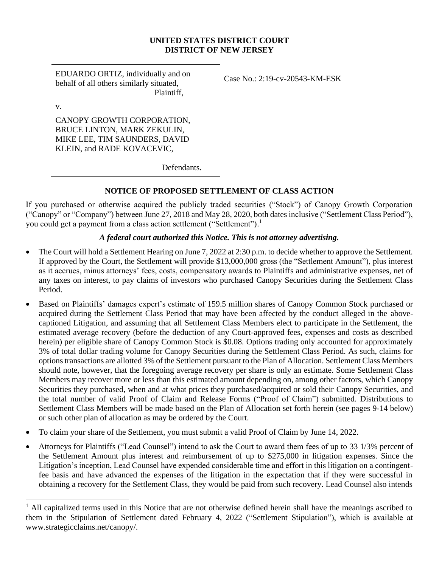#### **UNITED STATES DISTRICT COURT DISTRICT OF NEW JERSEY**

EDUARDO ORTIZ, individually and on behalf of all others similarly situated, Plaintiff,

v.

CANOPY GROWTH CORPORATION, BRUCE LINTON, MARK ZEKULIN, MIKE LEE, TIM SAUNDERS, DAVID KLEIN, and RADE KOVACEVIC,

Case No.: 2:19-cv-20543-KM-ESK

Defendants.

# **NOTICE OF PROPOSED SETTLEMENT OF CLASS ACTION**

If you purchased or otherwise acquired the publicly traded securities ("Stock") of Canopy Growth Corporation ("Canopy" or "Company") between June 27, 2018 and May 28, 2020, both datesinclusive ("Settlement Class Period"), you could get a payment from a class action settlement ("Settlement").<sup>1</sup>

# *A federal court authorized this Notice. This is not attorney advertising.*

- The Court will hold a Settlement Hearing on June 7, 2022 at 2:30 p.m. to decide whether to approve the Settlement. If approved by the Court, the Settlement will provide \$13,000,000 gross (the "Settlement Amount"), plus interest as it accrues, minus attorneys' fees, costs, compensatory awards to Plaintiffs and administrative expenses, net of any taxes on interest, to pay claims of investors who purchased Canopy Securities during the Settlement Class Period.
- Based on Plaintiffs' damages expert's estimate of 159.5 million shares of Canopy Common Stock purchased or acquired during the Settlement Class Period that may have been affected by the conduct alleged in the abovecaptioned Litigation, and assuming that all Settlement Class Members elect to participate in the Settlement, the estimated average recovery (before the deduction of any Court-approved fees, expenses and costs as described herein) per eligible share of Canopy Common Stock is \$0.08. Options trading only accounted for approximately 3% of total dollar trading volume for Canopy Securities during the Settlement Class Period. As such, claims for options transactions are allotted 3% of the Settlement pursuant to the Plan of Allocation. Settlement Class Members should note, however, that the foregoing average recovery per share is only an estimate. Some Settlement Class Members may recover more or less than this estimated amount depending on, among other factors, which Canopy Securities they purchased, when and at what prices they purchased/acquired or sold their Canopy Securities, and the total number of valid Proof of Claim and Release Forms ("Proof of Claim") submitted. Distributions to Settlement Class Members will be made based on the Plan of Allocation set forth herein (see pages 9-14 below) or such other plan of allocation as may be ordered by the Court.
- To claim your share of the Settlement, you must submit a valid Proof of Claim by June 14, 2022.
- Attorneys for Plaintiffs ("Lead Counsel") intend to ask the Court to award them fees of up to 33 1/3% percent of the Settlement Amount plus interest and reimbursement of up to \$275,000 in litigation expenses. Since the Litigation's inception, Lead Counsel have expended considerable time and effort in this litigation on a contingentfee basis and have advanced the expenses of the litigation in the expectation that if they were successful in obtaining a recovery for the Settlement Class, they would be paid from such recovery. Lead Counsel also intends

<sup>&</sup>lt;sup>1</sup> All capitalized terms used in this Notice that are not otherwise defined herein shall have the meanings ascribed to them in the Stipulation of Settlement dated February 4, 2022 ("Settlement Stipulation"), which is available at www.strategicclaims.net/canopy/.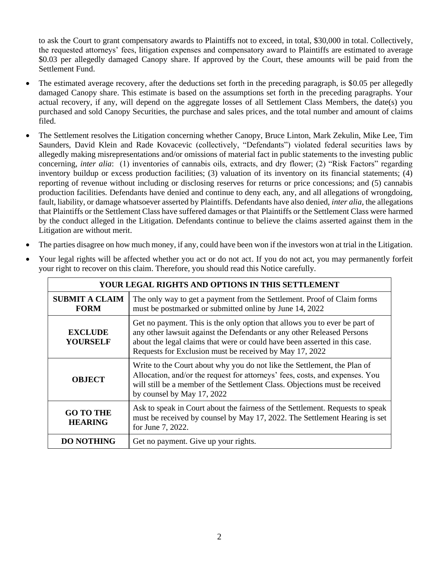to ask the Court to grant compensatory awards to Plaintiffs not to exceed, in total, \$30,000 in total. Collectively, the requested attorneys' fees, litigation expenses and compensatory award to Plaintiffs are estimated to average \$0.03 per allegedly damaged Canopy share. If approved by the Court, these amounts will be paid from the Settlement Fund.

- The estimated average recovery, after the deductions set forth in the preceding paragraph, is \$0.05 per allegedly damaged Canopy share. This estimate is based on the assumptions set forth in the preceding paragraphs. Your actual recovery, if any, will depend on the aggregate losses of all Settlement Class Members, the date(s) you purchased and sold Canopy Securities, the purchase and sales prices, and the total number and amount of claims filed.
- The Settlement resolves the Litigation concerning whether Canopy, Bruce Linton, Mark Zekulin, Mike Lee, Tim Saunders, David Klein and Rade Kovacevic (collectively, "Defendants") violated federal securities laws by allegedly making misrepresentations and/or omissions of material fact in public statements to the investing public concerning, *inter alia*: (1) inventories of cannabis oils, extracts, and dry flower; (2) "Risk Factors" regarding inventory buildup or excess production facilities; (3) valuation of its inventory on its financial statements; (4) reporting of revenue without including or disclosing reserves for returns or price concessions; and (5) cannabis production facilities. Defendants have denied and continue to deny each, any, and all allegations of wrongdoing, fault, liability, or damage whatsoever asserted by Plaintiffs. Defendants have also denied, *inter alia*, the allegations that Plaintiffs or the Settlement Class have suffered damages or that Plaintiffs or the Settlement Class were harmed by the conduct alleged in the Litigation. Defendants continue to believe the claims asserted against them in the Litigation are without merit.
- The parties disagree on how much money, if any, could have been won if the investors won at trial in the Litigation.
- Your legal rights will be affected whether you act or do not act. If you do not act, you may permanently forfeit your right to recover on this claim. Therefore, you should read this Notice carefully.

| YOUR LEGAL RIGHTS AND OPTIONS IN THIS SETTLEMENT                                                                                                                           |                                                                                                                                                                                                                                                                                               |  |  |  |  |
|----------------------------------------------------------------------------------------------------------------------------------------------------------------------------|-----------------------------------------------------------------------------------------------------------------------------------------------------------------------------------------------------------------------------------------------------------------------------------------------|--|--|--|--|
| <b>SUBMIT A CLAIM</b><br>The only way to get a payment from the Settlement. Proof of Claim forms<br>must be postmarked or submitted online by June 14, 2022<br><b>FORM</b> |                                                                                                                                                                                                                                                                                               |  |  |  |  |
| <b>EXCLUDE</b><br><b>YOURSELF</b>                                                                                                                                          | Get no payment. This is the only option that allows you to ever be part of<br>any other lawsuit against the Defendants or any other Released Persons<br>about the legal claims that were or could have been asserted in this case.<br>Requests for Exclusion must be received by May 17, 2022 |  |  |  |  |
| <b>OBJECT</b>                                                                                                                                                              | Write to the Court about why you do not like the Settlement, the Plan of<br>Allocation, and/or the request for attorneys' fees, costs, and expenses. You<br>will still be a member of the Settlement Class. Objections must be received<br>by counsel by May 17, 2022                         |  |  |  |  |
| <b>GO TO THE</b><br><b>HEARING</b>                                                                                                                                         | Ask to speak in Court about the fairness of the Settlement. Requests to speak<br>must be received by counsel by May 17, 2022. The Settlement Hearing is set<br>for June 7, 2022.                                                                                                              |  |  |  |  |
| <b>DO NOTHING</b>                                                                                                                                                          | Get no payment. Give up your rights.                                                                                                                                                                                                                                                          |  |  |  |  |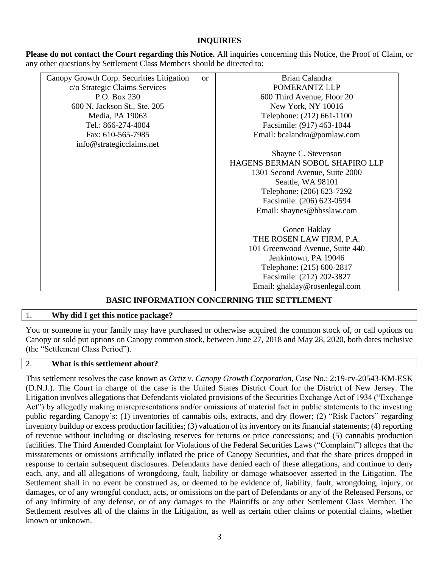# **INQUIRIES**

**Please do not contact the Court regarding this Notice.** All inquiries concerning this Notice, the Proof of Claim, or any other questions by Settlement Class Members should be directed to:

| Canopy Growth Corp. Securities Litigation | $\alpha$ | Brian Calandra                  |  |  |
|-------------------------------------------|----------|---------------------------------|--|--|
| c/o Strategic Claims Services             |          | POMERANTZ LLP                   |  |  |
| P.O. Box 230                              |          | 600 Third Avenue, Floor 20      |  |  |
| 600 N. Jackson St., Ste. 205              |          | New York, NY 10016              |  |  |
| Media, PA 19063                           |          | Telephone: (212) 661-1100       |  |  |
| Tel.: 866-274-4004                        |          | Facsimile: (917) 463-1044       |  |  |
| Fax: 610-565-7985                         |          | Email: bcalandra@pomlaw.com     |  |  |
| info@strategicclaims.net                  |          |                                 |  |  |
|                                           |          | Shayne C. Stevenson             |  |  |
|                                           |          | HAGENS BERMAN SOBOL SHAPIRO LLP |  |  |
|                                           |          | 1301 Second Avenue, Suite 2000  |  |  |
|                                           |          | Seattle, WA 98101               |  |  |
|                                           |          | Telephone: (206) 623-7292       |  |  |
|                                           |          | Facsimile: (206) 623-0594       |  |  |
|                                           |          | Email: shaynes@hbsslaw.com      |  |  |
|                                           |          |                                 |  |  |
|                                           |          | Gonen Haklay                    |  |  |
|                                           |          | THE ROSEN LAW FIRM, P.A.        |  |  |
|                                           |          | 101 Greenwood Avenue, Suite 440 |  |  |
|                                           |          | Jenkintown, PA 19046            |  |  |
|                                           |          | Telephone: (215) 600-2817       |  |  |
|                                           |          | Facsimile: (212) 202-3827       |  |  |
|                                           |          | Email: ghaklay@rosenlegal.com   |  |  |

# **BASIC INFORMATION CONCERNING THE SETTLEMENT**

# 1. **Why did I get this notice package?**

You or someone in your family may have purchased or otherwise acquired the common stock of, or call options on Canopy or sold put options on Canopy common stock, between June 27, 2018 and May 28, 2020, both dates inclusive (the "Settlement Class Period").

#### 2. **What is this settlement about?**

This settlement resolves the case known as *Ortiz v. Canopy Growth Corporation*, Case No.: 2:19-cv-20543-KM-ESK (D.N.J.). The Court in charge of the case is the United States District Court for the District of New Jersey. The Litigation involves allegations that Defendants violated provisions of the Securities Exchange Act of 1934 ("Exchange Act") by allegedly making misrepresentations and/or omissions of material fact in public statements to the investing public regarding Canopy's: (1) inventories of cannabis oils, extracts, and dry flower; (2) "Risk Factors" regarding inventory buildup or excess production facilities; (3) valuation of its inventory on its financial statements; (4) reporting of revenue without including or disclosing reserves for returns or price concessions; and (5) cannabis production facilities. The Third Amended Complaint for Violations of the Federal Securities Laws ("Complaint") alleges that the misstatements or omissions artificially inflated the price of Canopy Securities, and that the share prices dropped in response to certain subsequent disclosures. Defendants have denied each of these allegations, and continue to deny each, any, and all allegations of wrongdoing, fault, liability or damage whatsoever asserted in the Litigation. The Settlement shall in no event be construed as, or deemed to be evidence of, liability, fault, wrongdoing, injury, or damages, or of any wrongful conduct, acts, or omissions on the part of Defendants or any of the Released Persons, or of any infirmity of any defense, or of any damages to the Plaintiffs or any other Settlement Class Member. The Settlement resolves all of the claims in the Litigation, as well as certain other claims or potential claims, whether known or unknown.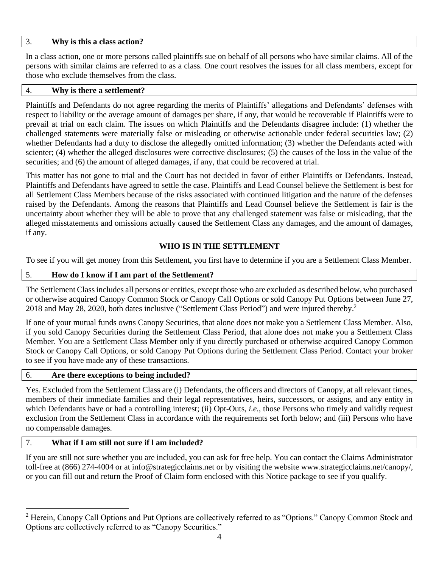## 3. **Why is this a class action?**

In a class action, one or more persons called plaintiffs sue on behalf of all persons who have similar claims. All of the persons with similar claims are referred to as a class. One court resolves the issues for all class members, except for those who exclude themselves from the class.

#### 4. **Why is there a settlement?**

Plaintiffs and Defendants do not agree regarding the merits of Plaintiffs' allegations and Defendants' defenses with respect to liability or the average amount of damages per share, if any, that would be recoverable if Plaintiffs were to prevail at trial on each claim. The issues on which Plaintiffs and the Defendants disagree include: (1) whether the challenged statements were materially false or misleading or otherwise actionable under federal securities law; (2) whether Defendants had a duty to disclose the allegedly omitted information; (3) whether the Defendants acted with scienter; (4) whether the alleged disclosures were corrective disclosures; (5) the causes of the loss in the value of the securities; and (6) the amount of alleged damages, if any, that could be recovered at trial.

This matter has not gone to trial and the Court has not decided in favor of either Plaintiffs or Defendants. Instead, Plaintiffs and Defendants have agreed to settle the case. Plaintiffs and Lead Counsel believe the Settlement is best for all Settlement Class Members because of the risks associated with continued litigation and the nature of the defenses raised by the Defendants. Among the reasons that Plaintiffs and Lead Counsel believe the Settlement is fair is the uncertainty about whether they will be able to prove that any challenged statement was false or misleading, that the alleged misstatements and omissions actually caused the Settlement Class any damages, and the amount of damages, if any.

# **WHO IS IN THE SETTLEMENT**

To see if you will get money from this Settlement, you first have to determine if you are a Settlement Class Member.

# 5. **How do I know if I am part of the Settlement?**

The Settlement Class includes all persons or entities, except those who are excluded as described below, who purchased or otherwise acquired Canopy Common Stock or Canopy Call Options or sold Canopy Put Options between June 27, 2018 and May 28, 2020, both dates inclusive ("Settlement Class Period") and were injured thereby. 2

If one of your mutual funds owns Canopy Securities, that alone does not make you a Settlement Class Member. Also, if you sold Canopy Securities during the Settlement Class Period, that alone does not make you a Settlement Class Member. You are a Settlement Class Member only if you directly purchased or otherwise acquired Canopy Common Stock or Canopy Call Options, or sold Canopy Put Options during the Settlement Class Period. Contact your broker to see if you have made any of these transactions.

# 6. **Are there exceptions to being included?**

Yes. Excluded from the Settlement Class are (i) Defendants, the officers and directors of Canopy, at all relevant times, members of their immediate families and their legal representatives, heirs, successors, or assigns, and any entity in which Defendants have or had a controlling interest; (ii) Opt-Outs, *i.e.*, those Persons who timely and validly request exclusion from the Settlement Class in accordance with the requirements set forth below; and (iii) Persons who have no compensable damages.

# 7. **What if I am still not sure if l am included?**

If you are still not sure whether you are included, you can ask for free help. You can contact the Claims Administrator toll-free at (866) 274-4004 or at info@strategicclaims.net or by visiting the website www.strategicclaims.net/canopy/, or you can fill out and return the Proof of Claim form enclosed with this Notice package to see if you qualify.

<sup>&</sup>lt;sup>2</sup> Herein, Canopy Call Options and Put Options are collectively referred to as "Options." Canopy Common Stock and Options are collectively referred to as "Canopy Securities."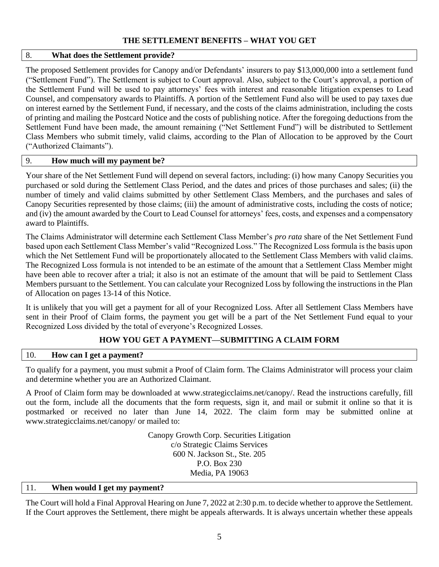# **THE SETTLEMENT BENEFITS – WHAT YOU GET**

## 8. **What does the Settlement provide?**

The proposed Settlement provides for Canopy and/or Defendants' insurers to pay \$13,000,000 into a settlement fund ("Settlement Fund"). The Settlement is subject to Court approval. Also, subject to the Court's approval, a portion of the Settlement Fund will be used to pay attorneys' fees with interest and reasonable litigation expenses to Lead Counsel, and compensatory awards to Plaintiffs. A portion of the Settlement Fund also will be used to pay taxes due on interest earned by the Settlement Fund, if necessary, and the costs of the claims administration, including the costs of printing and mailing the Postcard Notice and the costs of publishing notice. After the foregoing deductions from the Settlement Fund have been made, the amount remaining ("Net Settlement Fund") will be distributed to Settlement Class Members who submit timely, valid claims, according to the Plan of Allocation to be approved by the Court ("Authorized Claimants").

## 9. **How much will my payment be?**

Your share of the Net Settlement Fund will depend on several factors, including: (i) how many Canopy Securities you purchased or sold during the Settlement Class Period, and the dates and prices of those purchases and sales; (ii) the number of timely and valid claims submitted by other Settlement Class Members, and the purchases and sales of Canopy Securities represented by those claims; (iii) the amount of administrative costs, including the costs of notice; and (iv) the amount awarded by the Court to Lead Counsel for attorneys' fees, costs, and expenses and a compensatory award to Plaintiffs.

The Claims Administrator will determine each Settlement Class Member's *pro rata* share of the Net Settlement Fund based upon each Settlement Class Member's valid "Recognized Loss." The Recognized Loss formula is the basis upon which the Net Settlement Fund will be proportionately allocated to the Settlement Class Members with valid claims. The Recognized Loss formula is not intended to be an estimate of the amount that a Settlement Class Member might have been able to recover after a trial; it also is not an estimate of the amount that will be paid to Settlement Class Members pursuant to the Settlement. You can calculate your Recognized Loss by following the instructions in the Plan of Allocation on pages 13-14 of this Notice.

It is unlikely that you will get a payment for all of your Recognized Loss. After all Settlement Class Members have sent in their Proof of Claim forms, the payment you get will be a part of the Net Settlement Fund equal to your Recognized Loss divided by the total of everyone's Recognized Losses.

# **HOW YOU GET A PAYMENT—SUBMITTING A CLAIM FORM**

#### 10. **How can I get a payment?**

To qualify for a payment, you must submit a Proof of Claim form. The Claims Administrator will process your claim and determine whether you are an Authorized Claimant.

A Proof of Claim form may be downloaded at www.strategicclaims.net/canopy/. Read the instructions carefully, fill out the form, include all the documents that the form requests, sign it, and mail or submit it online so that it is postmarked or received no later than June 14, 2022. The claim form may be submitted online at www.strategicclaims.net/canopy/ or mailed to:

> Canopy Growth Corp. Securities Litigation c/o Strategic Claims Services 600 N. Jackson St., Ste. 205 P.O. Box 230 Media, PA 19063

# 11. **When would I get my payment?**

The Court will hold a Final Approval Hearing on June 7, 2022 at 2:30 p.m. to decide whether to approve the Settlement. If the Court approves the Settlement, there might be appeals afterwards. It is always uncertain whether these appeals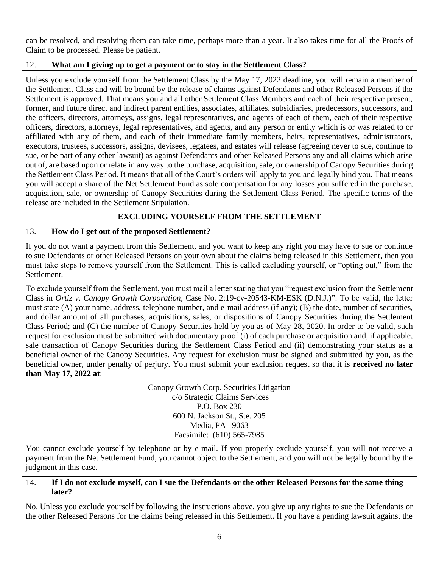can be resolved, and resolving them can take time, perhaps more than a year. It also takes time for all the Proofs of Claim to be processed. Please be patient.

# 12. **What am I giving up to get a payment or to stay in the Settlement Class?**

Unless you exclude yourself from the Settlement Class by the May 17, 2022 deadline, you will remain a member of the Settlement Class and will be bound by the release of claims against Defendants and other Released Persons if the Settlement is approved. That means you and all other Settlement Class Members and each of their respective present, former, and future direct and indirect parent entities, associates, affiliates, subsidiaries, predecessors, successors, and the officers, directors, attorneys, assigns, legal representatives, and agents of each of them, each of their respective officers, directors, attorneys, legal representatives, and agents, and any person or entity which is or was related to or affiliated with any of them, and each of their immediate family members, heirs, representatives, administrators, executors, trustees, successors, assigns, devisees, legatees, and estates will release (agreeing never to sue, continue to sue, or be part of any other lawsuit) as against Defendants and other Released Persons any and all claims which arise out of, are based upon or relate in any way to the purchase, acquisition, sale, or ownership of Canopy Securities during the Settlement Class Period. It means that all of the Court's orders will apply to you and legally bind you. That means you will accept a share of the Net Settlement Fund as sole compensation for any losses you suffered in the purchase, acquisition, sale, or ownership of Canopy Securities during the Settlement Class Period. The specific terms of the release are included in the Settlement Stipulation.

# **EXCLUDING YOURSELF FROM THE SETTLEMENT**

# 13. **How do I get out of the proposed Settlement?**

If you do not want a payment from this Settlement, and you want to keep any right you may have to sue or continue to sue Defendants or other Released Persons on your own about the claims being released in this Settlement, then you must take steps to remove yourself from the Settlement. This is called excluding yourself, or "opting out," from the Settlement.

To exclude yourself from the Settlement, you must mail a letter stating that you "request exclusion from the Settlement Class in *Ortiz v. Canopy Growth Corporation*, Case No. 2:19-cv-20543-KM-ESK (D.N.J.)". To be valid, the letter must state (A) your name, address, telephone number, and e-mail address (if any); (B) the date, number of securities, and dollar amount of all purchases, acquisitions, sales, or dispositions of Canopy Securities during the Settlement Class Period; and (C) the number of Canopy Securities held by you as of May 28, 2020. In order to be valid, such request for exclusion must be submitted with documentary proof (i) of each purchase or acquisition and, if applicable, sale transaction of Canopy Securities during the Settlement Class Period and (ii) demonstrating your status as a beneficial owner of the Canopy Securities. Any request for exclusion must be signed and submitted by you, as the beneficial owner, under penalty of perjury. You must submit your exclusion request so that it is **received no later than May 17, 2022 at**:

> Canopy Growth Corp. Securities Litigation c/o Strategic Claims Services P.O. Box 230 600 N. Jackson St., Ste. 205 Media, PA 19063 Facsimile: (610) 565-7985

You cannot exclude yourself by telephone or by e-mail. If you properly exclude yourself, you will not receive a payment from the Net Settlement Fund, you cannot object to the Settlement, and you will not be legally bound by the judgment in this case.

# 14. **If I do not exclude myself, can I sue the Defendants or the other Released Persons for the same thing later?**

No. Unless you exclude yourself by following the instructions above, you give up any rights to sue the Defendants or the other Released Persons for the claims being released in this Settlement. If you have a pending lawsuit against the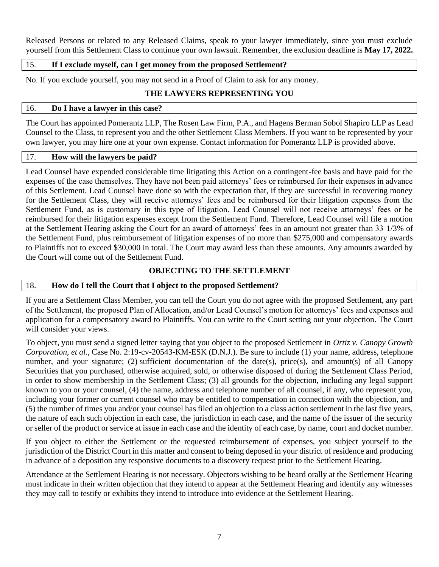Released Persons or related to any Released Claims, speak to your lawyer immediately, since you must exclude yourself from this Settlement Class to continue your own lawsuit. Remember, the exclusion deadline is **May 17, 2022.**

# 15. **If I exclude myself, can I get money from the proposed Settlement?**

No. If you exclude yourself, you may not send in a Proof of Claim to ask for any money.

# **THE LAWYERS REPRESENTING YOU**

#### 16. **Do I have a lawyer in this case?**

The Court has appointed Pomerantz LLP, The Rosen Law Firm, P.A., and Hagens Berman Sobol Shapiro LLP as Lead Counsel to the Class, to represent you and the other Settlement Class Members. If you want to be represented by your own lawyer, you may hire one at your own expense. Contact information for Pomerantz LLP is provided above.

# 17. **How will the lawyers be paid?**

Lead Counsel have expended considerable time litigating this Action on a contingent-fee basis and have paid for the expenses of the case themselves. They have not been paid attorneys' fees or reimbursed for their expenses in advance of this Settlement. Lead Counsel have done so with the expectation that, if they are successful in recovering money for the Settlement Class, they will receive attorneys' fees and be reimbursed for their litigation expenses from the Settlement Fund, as is customary in this type of litigation. Lead Counsel will not receive attorneys' fees or be reimbursed for their litigation expenses except from the Settlement Fund. Therefore, Lead Counsel will file a motion at the Settlement Hearing asking the Court for an award of attorneys' fees in an amount not greater than 33 1/3% of the Settlement Fund, plus reimbursement of litigation expenses of no more than \$275,000 and compensatory awards to Plaintiffs not to exceed \$30,000 in total. The Court may award less than these amounts. Any amounts awarded by the Court will come out of the Settlement Fund.

# **OBJECTING TO THE SETTLEMENT**

# 18. **How do I tell the Court that I object to the proposed Settlement?**

If you are a Settlement Class Member, you can tell the Court you do not agree with the proposed Settlement, any part of the Settlement, the proposed Plan of Allocation, and/or Lead Counsel's motion for attorneys' fees and expenses and application for a compensatory award to Plaintiffs. You can write to the Court setting out your objection. The Court will consider your views.

To object, you must send a signed letter saying that you object to the proposed Settlement in *Ortiz v. Canopy Growth Corporation, et al.*, Case No. 2:19-cv-20543-KM-ESK (D.N.J.). Be sure to include (1) your name, address, telephone number, and your signature; (2) sufficient documentation of the date(s), price(s), and amount(s) of all Canopy Securities that you purchased, otherwise acquired, sold, or otherwise disposed of during the Settlement Class Period, in order to show membership in the Settlement Class; (3) all grounds for the objection, including any legal support known to you or your counsel, (4) the name, address and telephone number of all counsel, if any, who represent you, including your former or current counsel who may be entitled to compensation in connection with the objection, and (5) the number of times you and/or your counsel has filed an objection to a class action settlement in the last five years, the nature of each such objection in each case, the jurisdiction in each case, and the name of the issuer of the security or seller of the product or service at issue in each case and the identity of each case, by name, court and docket number.

If you object to either the Settlement or the requested reimbursement of expenses, you subject yourself to the jurisdiction of the District Court in this matter and consent to being deposed in your district of residence and producing in advance of a deposition any responsive documents to a discovery request prior to the Settlement Hearing.

Attendance at the Settlement Hearing is not necessary. Objectors wishing to be heard orally at the Settlement Hearing must indicate in their written objection that they intend to appear at the Settlement Hearing and identify any witnesses they may call to testify or exhibits they intend to introduce into evidence at the Settlement Hearing.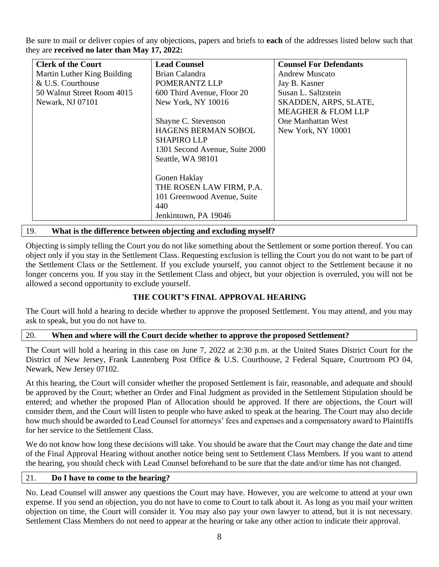Be sure to mail or deliver copies of any objections, papers and briefs to **each** of the addresses listed below such that they are **received no later than May 17, 2022:** 

| <b>Clerk of the Court</b>   | <b>Lead Counsel</b>            | <b>Counsel For Defendants</b> |
|-----------------------------|--------------------------------|-------------------------------|
| Martin Luther King Building | Brian Calandra                 | <b>Andrew Muscato</b>         |
| & U.S. Courthouse           | POMERANTZ LLP                  | Jay B. Kasner                 |
| 50 Walnut Street Room 4015  | 600 Third Avenue, Floor 20     | Susan L. Saltzstein           |
| Newark, NJ 07101            | New York, NY 10016             | SKADDEN, ARPS, SLATE,         |
|                             |                                | <b>MEAGHER &amp; FLOM LLP</b> |
|                             | Shayne C. Stevenson            | One Manhattan West            |
|                             | <b>HAGENS BERMAN SOBOL</b>     | New York, NY 10001            |
|                             | <b>SHAPIRO LLP</b>             |                               |
|                             | 1301 Second Avenue, Suite 2000 |                               |
|                             | Seattle, WA 98101              |                               |
|                             |                                |                               |
|                             | Gonen Haklay                   |                               |
|                             | THE ROSEN LAW FIRM, P.A.       |                               |
|                             | 101 Greenwood Avenue, Suite    |                               |
|                             | 440                            |                               |
|                             | Jenkintown, PA 19046           |                               |

## 19. **What is the difference between objecting and excluding myself?**

Objecting is simply telling the Court you do not like something about the Settlement or some portion thereof. You can object only if you stay in the Settlement Class. Requesting exclusion is telling the Court you do not want to be part of the Settlement Class or the Settlement. If you exclude yourself, you cannot object to the Settlement because it no longer concerns you. If you stay in the Settlement Class and object, but your objection is overruled, you will not be allowed a second opportunity to exclude yourself.

# **THE COURT'S FINAL APPROVAL HEARING**

The Court will hold a hearing to decide whether to approve the proposed Settlement. You may attend, and you may ask to speak, but you do not have to.

#### 20. **When and where will the Court decide whether to approve the proposed Settlement?**

The Court will hold a hearing in this case on June 7, 2022 at 2:30 p.m. at the United States District Court for the District of New Jersey, Frank Lautenberg Post Office & U.S. Courthouse, 2 Federal Square, Courtroom PO 04, Newark, New Jersey 07102.

At this hearing, the Court will consider whether the proposed Settlement is fair, reasonable, and adequate and should be approved by the Court; whether an Order and Final Judgment as provided in the Settlement Stipulation should be entered; and whether the proposed Plan of Allocation should be approved. If there are objections, the Court will consider them, and the Court will listen to people who have asked to speak at the hearing. The Court may also decide how much should be awarded to Lead Counsel for attorneys' fees and expenses and a compensatory award to Plaintiffs for her service to the Settlement Class.

We do not know how long these decisions will take. You should be aware that the Court may change the date and time of the Final Approval Hearing without another notice being sent to Settlement Class Members. If you want to attend the hearing, you should check with Lead Counsel beforehand to be sure that the date and/or time has not changed.

#### 21. **Do I have to come to the hearing?**

No. Lead Counsel will answer any questions the Court may have. However, you are welcome to attend at your own expense. If you send an objection, you do not have to come to Court to talk about it. As long as you mail your written objection on time, the Court will consider it. You may also pay your own lawyer to attend, but it is not necessary. Settlement Class Members do not need to appear at the hearing or take any other action to indicate their approval.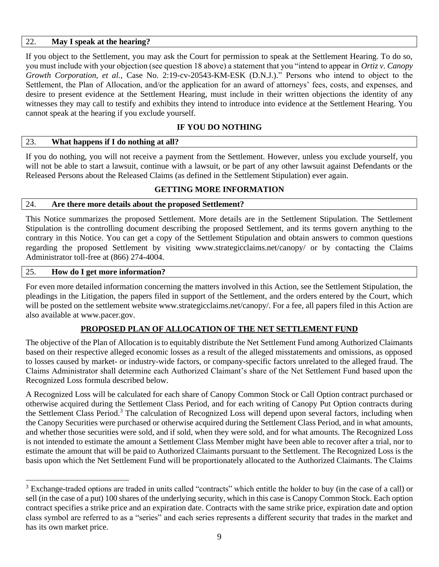## 22. **May I speak at the hearing?**

If you object to the Settlement, you may ask the Court for permission to speak at the Settlement Hearing. To do so, you must include with your objection (see question 18 above) a statement that you "intend to appear in *Ortiz v. Canopy Growth Corporation, et al.*, Case No. 2:19-cv-20543-KM-ESK (D.N.J.)." Persons who intend to object to the Settlement, the Plan of Allocation, and/or the application for an award of attorneys' fees, costs, and expenses, and desire to present evidence at the Settlement Hearing, must include in their written objections the identity of any witnesses they may call to testify and exhibits they intend to introduce into evidence at the Settlement Hearing. You cannot speak at the hearing if you exclude yourself.

# **IF YOU DO NOTHING**

## 23. **What happens if I do nothing at all?**

If you do nothing, you will not receive a payment from the Settlement. However, unless you exclude yourself, you will not be able to start a lawsuit, continue with a lawsuit, or be part of any other lawsuit against Defendants or the Released Persons about the Released Claims (as defined in the Settlement Stipulation) ever again.

# **GETTING MORE INFORMATION**

## 24. **Are there more details about the proposed Settlement?**

This Notice summarizes the proposed Settlement. More details are in the Settlement Stipulation. The Settlement Stipulation is the controlling document describing the proposed Settlement, and its terms govern anything to the contrary in this Notice. You can get a copy of the Settlement Stipulation and obtain answers to common questions regarding the proposed Settlement by visiting www.strategicclaims.net/canopy/ or by contacting the Claims Administrator toll-free at (866) 274-4004.

#### 25. **How do I get more information?**

For even more detailed information concerning the matters involved in this Action, see the Settlement Stipulation, the pleadings in the Litigation, the papers filed in support of the Settlement, and the orders entered by the Court, which will be posted on the settlement website www.strategicclaims.net/canopy/. For a fee, all papers filed in this Action are also available at www.pacer.gov.

# **PROPOSED PLAN OF ALLOCATION OF THE NET SETTLEMENT FUND**

The objective of the Plan of Allocation is to equitably distribute the Net Settlement Fund among Authorized Claimants based on their respective alleged economic losses as a result of the alleged misstatements and omissions, as opposed to losses caused by market- or industry-wide factors, or company-specific factors unrelated to the alleged fraud. The Claims Administrator shall determine each Authorized Claimant's share of the Net Settlement Fund based upon the Recognized Loss formula described below.

A Recognized Loss will be calculated for each share of Canopy Common Stock or Call Option contract purchased or otherwise acquired during the Settlement Class Period, and for each writing of Canopy Put Option contracts during the Settlement Class Period.<sup>3</sup> The calculation of Recognized Loss will depend upon several factors, including when the Canopy Securities were purchased or otherwise acquired during the Settlement Class Period, and in what amounts, and whether those securities were sold, and if sold, when they were sold, and for what amounts. The Recognized Loss is not intended to estimate the amount a Settlement Class Member might have been able to recover after a trial, nor to estimate the amount that will be paid to Authorized Claimants pursuant to the Settlement. The Recognized Loss is the basis upon which the Net Settlement Fund will be proportionately allocated to the Authorized Claimants. The Claims

<sup>&</sup>lt;sup>3</sup> Exchange-traded options are traded in units called "contracts" which entitle the holder to buy (in the case of a call) or sell (in the case of a put) 100 shares of the underlying security, which in this case is Canopy Common Stock. Each option contract specifies a strike price and an expiration date. Contracts with the same strike price, expiration date and option class symbol are referred to as a "series" and each series represents a different security that trades in the market and has its own market price.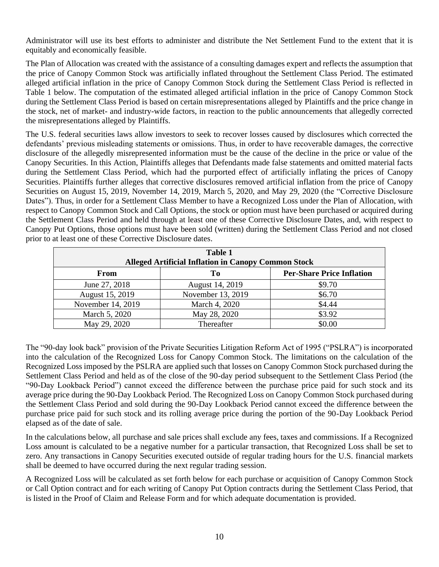Administrator will use its best efforts to administer and distribute the Net Settlement Fund to the extent that it is equitably and economically feasible.

The Plan of Allocation was created with the assistance of a consulting damages expert and reflects the assumption that the price of Canopy Common Stock was artificially inflated throughout the Settlement Class Period. The estimated alleged artificial inflation in the price of Canopy Common Stock during the Settlement Class Period is reflected in Table 1 below. The computation of the estimated alleged artificial inflation in the price of Canopy Common Stock during the Settlement Class Period is based on certain misrepresentations alleged by Plaintiffs and the price change in the stock, net of market- and industry-wide factors, in reaction to the public announcements that allegedly corrected the misrepresentations alleged by Plaintiffs.

The U.S. federal securities laws allow investors to seek to recover losses caused by disclosures which corrected the defendants' previous misleading statements or omissions. Thus, in order to have recoverable damages, the corrective disclosure of the allegedly misrepresented information must be the cause of the decline in the price or value of the Canopy Securities. In this Action, Plaintiffs alleges that Defendants made false statements and omitted material facts during the Settlement Class Period, which had the purported effect of artificially inflating the prices of Canopy Securities. Plaintiffs further alleges that corrective disclosures removed artificial inflation from the price of Canopy Securities on August 15, 2019, November 14, 2019, March 5, 2020, and May 29, 2020 (the "Corrective Disclosure Dates"). Thus, in order for a Settlement Class Member to have a Recognized Loss under the Plan of Allocation, with respect to Canopy Common Stock and Call Options, the stock or option must have been purchased or acquired during the Settlement Class Period and held through at least one of these Corrective Disclosure Dates, and, with respect to Canopy Put Options, those options must have been sold (written) during the Settlement Class Period and not closed prior to at least one of these Corrective Disclosure dates.

| <b>Table 1</b><br><b>Alleged Artificial Inflation in Canopy Common Stock</b> |                   |        |  |  |  |  |  |
|------------------------------------------------------------------------------|-------------------|--------|--|--|--|--|--|
| <b>Per-Share Price Inflation</b><br>From<br>To                               |                   |        |  |  |  |  |  |
| June 27, 2018                                                                | August 14, 2019   | \$9.70 |  |  |  |  |  |
| August 15, 2019                                                              | November 13, 2019 | \$6.70 |  |  |  |  |  |
| November 14, 2019                                                            | March 4, 2020     | \$4.44 |  |  |  |  |  |
| March 5, 2020                                                                | May 28, 2020      | \$3.92 |  |  |  |  |  |
| May 29, 2020                                                                 | Thereafter        | \$0.00 |  |  |  |  |  |

The "90-day look back" provision of the Private Securities Litigation Reform Act of 1995 ("PSLRA") is incorporated into the calculation of the Recognized Loss for Canopy Common Stock. The limitations on the calculation of the Recognized Loss imposed by the PSLRA are applied such that losses on Canopy Common Stock purchased during the Settlement Class Period and held as of the close of the 90-day period subsequent to the Settlement Class Period (the "90-Day Lookback Period") cannot exceed the difference between the purchase price paid for such stock and its average price during the 90-Day Lookback Period. The Recognized Loss on Canopy Common Stock purchased during the Settlement Class Period and sold during the 90-Day Lookback Period cannot exceed the difference between the purchase price paid for such stock and its rolling average price during the portion of the 90-Day Lookback Period elapsed as of the date of sale.

In the calculations below, all purchase and sale prices shall exclude any fees, taxes and commissions. If a Recognized Loss amount is calculated to be a negative number for a particular transaction, that Recognized Loss shall be set to zero. Any transactions in Canopy Securities executed outside of regular trading hours for the U.S. financial markets shall be deemed to have occurred during the next regular trading session.

A Recognized Loss will be calculated as set forth below for each purchase or acquisition of Canopy Common Stock or Call Option contract and for each writing of Canopy Put Option contracts during the Settlement Class Period, that is listed in the Proof of Claim and Release Form and for which adequate documentation is provided.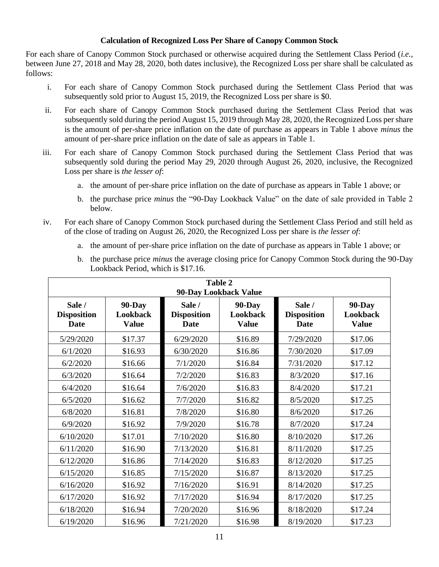## **Calculation of Recognized Loss Per Share of Canopy Common Stock**

For each share of Canopy Common Stock purchased or otherwise acquired during the Settlement Class Period (*i.e.*, between June 27, 2018 and May 28, 2020, both dates inclusive), the Recognized Loss per share shall be calculated as follows:

- i. For each share of Canopy Common Stock purchased during the Settlement Class Period that was subsequently sold prior to August 15, 2019, the Recognized Loss per share is \$0.
- ii. For each share of Canopy Common Stock purchased during the Settlement Class Period that was subsequently sold during the period August 15, 2019 through May 28, 2020, the Recognized Loss per share is the amount of per-share price inflation on the date of purchase as appears in Table 1 above *minus* the amount of per-share price inflation on the date of sale as appears in Table 1.
- iii. For each share of Canopy Common Stock purchased during the Settlement Class Period that was subsequently sold during the period May 29, 2020 through August 26, 2020, inclusive, the Recognized Loss per share is *the lesser of*:
	- a. the amount of per-share price inflation on the date of purchase as appears in Table 1 above; or
	- b. the purchase price *minus* the "90-Day Lookback Value" on the date of sale provided in Table 2 below.
- iv. For each share of Canopy Common Stock purchased during the Settlement Class Period and still held as of the close of trading on August 26, 2020, the Recognized Loss per share is *the lesser of*:
	- a. the amount of per-share price inflation on the date of purchase as appears in Table 1 above; or

| b. the purchase price <i>minus</i> the average closing price for Canopy Common Stock during the 90-Day |
|--------------------------------------------------------------------------------------------------------|
| Lookback Period, which is \$17.16.                                                                     |

| <b>Table 2</b><br>90-Day Lookback Value |                                           |                                      |                                                  |                                      |                                           |  |
|-----------------------------------------|-------------------------------------------|--------------------------------------|--------------------------------------------------|--------------------------------------|-------------------------------------------|--|
| Sale /<br><b>Disposition</b><br>Date    | <b>90-Day</b><br>Lookback<br><b>Value</b> | Sale /<br><b>Disposition</b><br>Date | <b>90-Day</b><br><b>Lookback</b><br><b>Value</b> | Sale /<br><b>Disposition</b><br>Date | <b>90-Day</b><br>Lookback<br><b>Value</b> |  |
| 5/29/2020                               | \$17.37                                   | 6/29/2020                            | \$16.89                                          | 7/29/2020                            | \$17.06                                   |  |
| 6/1/2020                                | \$16.93                                   | 6/30/2020                            | \$16.86                                          | 7/30/2020                            | \$17.09                                   |  |
| 6/2/2020                                | \$16.66                                   | 7/1/2020                             | \$16.84                                          | 7/31/2020                            | \$17.12                                   |  |
| 6/3/2020                                | \$16.64                                   | 7/2/2020                             | \$16.83                                          | 8/3/2020                             | \$17.16                                   |  |
| 6/4/2020                                | \$16.64                                   | 7/6/2020                             | \$16.83                                          | 8/4/2020                             | \$17.21                                   |  |
| 6/5/2020                                | \$16.62                                   | 7/7/2020                             | \$16.82                                          | 8/5/2020                             | \$17.25                                   |  |
| 6/8/2020                                | \$16.81                                   | 7/8/2020                             | \$16.80                                          | 8/6/2020                             | \$17.26                                   |  |
| 6/9/2020                                | \$16.92                                   | 7/9/2020                             | \$16.78                                          | 8/7/2020                             | \$17.24                                   |  |
| 6/10/2020                               | \$17.01                                   | 7/10/2020                            | \$16.80                                          | 8/10/2020                            | \$17.26                                   |  |
| 6/11/2020                               | \$16.90                                   | 7/13/2020                            | \$16.81                                          | 8/11/2020                            | \$17.25                                   |  |
| 6/12/2020                               | \$16.86                                   | 7/14/2020                            | \$16.83                                          | 8/12/2020                            | \$17.25                                   |  |
| 6/15/2020                               | \$16.85                                   | 7/15/2020                            | \$16.87                                          | 8/13/2020                            | \$17.25                                   |  |
| 6/16/2020                               | \$16.92                                   | 7/16/2020                            | \$16.91                                          | 8/14/2020                            | \$17.25                                   |  |
| 6/17/2020                               | \$16.92                                   | 7/17/2020                            | \$16.94                                          | 8/17/2020                            | \$17.25                                   |  |
| 6/18/2020                               | \$16.94                                   | 7/20/2020                            | \$16.96                                          | 8/18/2020                            | \$17.24                                   |  |
| 6/19/2020                               | \$16.96                                   | 7/21/2020                            | \$16.98                                          | 8/19/2020                            | \$17.23                                   |  |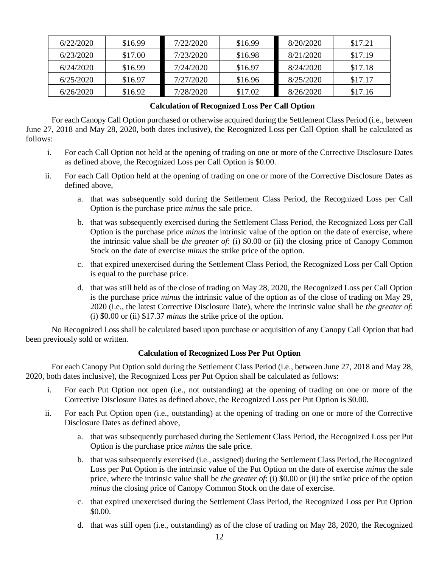| 6/22/2020 | \$16.99 | 7/22/2020 | \$16.99 | 8/20/2020 | \$17.21 |
|-----------|---------|-----------|---------|-----------|---------|
| 6/23/2020 | \$17.00 | 7/23/2020 | \$16.98 | 8/21/2020 | \$17.19 |
| 6/24/2020 | \$16.99 | 7/24/2020 | \$16.97 | 8/24/2020 | \$17.18 |
| 6/25/2020 | \$16.97 | 7/27/2020 | \$16.96 | 8/25/2020 | \$17.17 |
| 6/26/2020 | \$16.92 | 7/28/2020 | \$17.02 | 8/26/2020 | \$17.16 |

# **Calculation of Recognized Loss Per Call Option**

For each Canopy Call Option purchased or otherwise acquired during the Settlement Class Period (i.e., between June 27, 2018 and May 28, 2020, both dates inclusive), the Recognized Loss per Call Option shall be calculated as follows:

- i. For each Call Option not held at the opening of trading on one or more of the Corrective Disclosure Dates as defined above, the Recognized Loss per Call Option is \$0.00.
- ii. For each Call Option held at the opening of trading on one or more of the Corrective Disclosure Dates as defined above,
	- a. that was subsequently sold during the Settlement Class Period, the Recognized Loss per Call Option is the purchase price *minus* the sale price.
	- b. that was subsequently exercised during the Settlement Class Period, the Recognized Loss per Call Option is the purchase price *minus* the intrinsic value of the option on the date of exercise, where the intrinsic value shall be *the greater of*: (i) \$0.00 or (ii) the closing price of Canopy Common Stock on the date of exercise *minus* the strike price of the option.
	- c. that expired unexercised during the Settlement Class Period, the Recognized Loss per Call Option is equal to the purchase price.
	- d. that was still held as of the close of trading on May 28, 2020, the Recognized Loss per Call Option is the purchase price *minus* the intrinsic value of the option as of the close of trading on May 29, 2020 (i.e., the latest Corrective Disclosure Date), where the intrinsic value shall be *the greater of*: (i) \$0.00 or (ii) \$17.37 *minus* the strike price of the option.

No Recognized Loss shall be calculated based upon purchase or acquisition of any Canopy Call Option that had been previously sold or written.

# **Calculation of Recognized Loss Per Put Option**

For each Canopy Put Option sold during the Settlement Class Period (i.e., between June 27, 2018 and May 28, 2020, both dates inclusive), the Recognized Loss per Put Option shall be calculated as follows:

- i. For each Put Option not open (i.e., not outstanding) at the opening of trading on one or more of the Corrective Disclosure Dates as defined above, the Recognized Loss per Put Option is \$0.00.
- ii. For each Put Option open (i.e., outstanding) at the opening of trading on one or more of the Corrective Disclosure Dates as defined above,
	- a. that was subsequently purchased during the Settlement Class Period, the Recognized Loss per Put Option is the purchase price *minus* the sale price.
	- b. that was subsequently exercised (i.e., assigned) during the Settlement Class Period, the Recognized Loss per Put Option is the intrinsic value of the Put Option on the date of exercise *minus* the sale price, where the intrinsic value shall be *the greater of*: (i) \$0.00 or (ii) the strike price of the option *minus* the closing price of Canopy Common Stock on the date of exercise.
	- c. that expired unexercised during the Settlement Class Period, the Recognized Loss per Put Option \$0.00.
	- d. that was still open (i.e., outstanding) as of the close of trading on May 28, 2020, the Recognized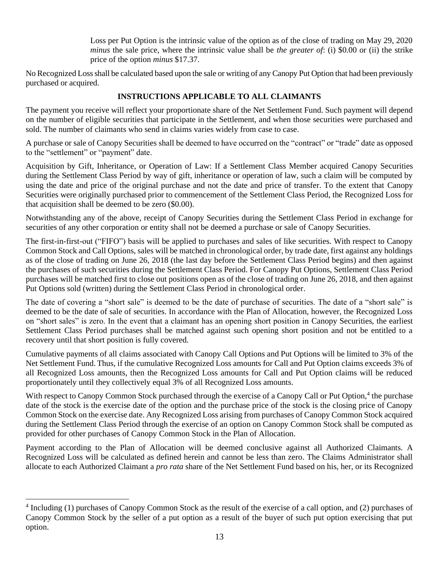Loss per Put Option is the intrinsic value of the option as of the close of trading on May 29, 2020 *minus* the sale price, where the intrinsic value shall be *the greater of*: (i) \$0.00 or (ii) the strike price of the option *minus* \$17.37.

No Recognized Loss shall be calculated based upon the sale or writing of any Canopy Put Option that had been previously purchased or acquired.

# **INSTRUCTIONS APPLICABLE TO ALL CLAIMANTS**

The payment you receive will reflect your proportionate share of the Net Settlement Fund. Such payment will depend on the number of eligible securities that participate in the Settlement, and when those securities were purchased and sold. The number of claimants who send in claims varies widely from case to case.

A purchase or sale of Canopy Securities shall be deemed to have occurred on the "contract" or "trade" date as opposed to the "settlement" or "payment" date.

Acquisition by Gift, Inheritance, or Operation of Law: If a Settlement Class Member acquired Canopy Securities during the Settlement Class Period by way of gift, inheritance or operation of law, such a claim will be computed by using the date and price of the original purchase and not the date and price of transfer. To the extent that Canopy Securities were originally purchased prior to commencement of the Settlement Class Period, the Recognized Loss for that acquisition shall be deemed to be zero (\$0.00).

Notwithstanding any of the above, receipt of Canopy Securities during the Settlement Class Period in exchange for securities of any other corporation or entity shall not be deemed a purchase or sale of Canopy Securities.

The first-in-first-out ("FIFO") basis will be applied to purchases and sales of like securities. With respect to Canopy Common Stock and Call Options, sales will be matched in chronological order, by trade date, first against any holdings as of the close of trading on June 26, 2018 (the last day before the Settlement Class Period begins) and then against the purchases of such securities during the Settlement Class Period. For Canopy Put Options, Settlement Class Period purchases will be matched first to close out positions open as of the close of trading on June 26, 2018, and then against Put Options sold (written) during the Settlement Class Period in chronological order.

The date of covering a "short sale" is deemed to be the date of purchase of securities. The date of a "short sale" is deemed to be the date of sale of securities. In accordance with the Plan of Allocation, however, the Recognized Loss on "short sales" is zero. In the event that a claimant has an opening short position in Canopy Securities, the earliest Settlement Class Period purchases shall be matched against such opening short position and not be entitled to a recovery until that short position is fully covered.

Cumulative payments of all claims associated with Canopy Call Options and Put Options will be limited to 3% of the Net Settlement Fund. Thus, if the cumulative Recognized Loss amounts for Call and Put Option claims exceeds 3% of all Recognized Loss amounts, then the Recognized Loss amounts for Call and Put Option claims will be reduced proportionately until they collectively equal 3% of all Recognized Loss amounts.

With respect to Canopy Common Stock purchased through the exercise of a Canopy Call or Put Option,<sup>4</sup> the purchase date of the stock is the exercise date of the option and the purchase price of the stock is the closing price of Canopy Common Stock on the exercise date. Any Recognized Loss arising from purchases of Canopy Common Stock acquired during the Settlement Class Period through the exercise of an option on Canopy Common Stock shall be computed as provided for other purchases of Canopy Common Stock in the Plan of Allocation.

Payment according to the Plan of Allocation will be deemed conclusive against all Authorized Claimants. A Recognized Loss will be calculated as defined herein and cannot be less than zero. The Claims Administrator shall allocate to each Authorized Claimant a *pro rata* share of the Net Settlement Fund based on his, her, or its Recognized

<sup>&</sup>lt;sup>4</sup> Including (1) purchases of Canopy Common Stock as the result of the exercise of a call option, and (2) purchases of Canopy Common Stock by the seller of a put option as a result of the buyer of such put option exercising that put option.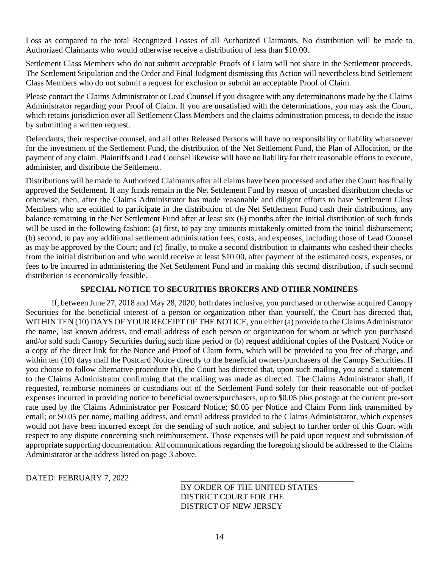Loss as compared to the total Recognized Losses of all Authorized Claimants. No distribution will be made to Authorized Claimants who would otherwise receive a distribution of less than \$10.00.

Settlement Class Members who do not submit acceptable Proofs of Claim will not share in the Settlement proceeds. The Settlement Stipulation and the Order and Final Judgment dismissing this Action will nevertheless bind Settlement Class Members who do not submit a request for exclusion or submit an acceptable Proof of Claim.

Please contact the Claims Administrator or Lead Counsel if you disagree with any determinations made by the Claims Administrator regarding your Proof of Claim. If you are unsatisfied with the determinations, you may ask the Court, which retains jurisdiction over all Settlement Class Members and the claims administration process, to decide the issue by submitting a written request.

Defendants, their respective counsel, and all other Released Persons will have no responsibility or liability whatsoever for the investment of the Settlement Fund, the distribution of the Net Settlement Fund, the Plan of Allocation, or the payment of any claim. Plaintiffs and Lead Counsel likewise will have no liability for their reasonable efforts to execute, administer, and distribute the Settlement.

Distributions will be made to Authorized Claimants after all claims have been processed and after the Court has finally approved the Settlement. If any funds remain in the Net Settlement Fund by reason of uncashed distribution checks or otherwise, then, after the Claims Administrator has made reasonable and diligent efforts to have Settlement Class Members who are entitled to participate in the distribution of the Net Settlement Fund cash their distributions, any balance remaining in the Net Settlement Fund after at least six (6) months after the initial distribution of such funds will be used in the following fashion: (a) first, to pay any amounts mistakenly omitted from the initial disbursement; (b) second, to pay any additional settlement administration fees, costs, and expenses, including those of Lead Counsel as may be approved by the Court; and (c) finally, to make a second distribution to claimants who cashed their checks from the initial distribution and who would receive at least \$10.00, after payment of the estimated costs, expenses, or fees to be incurred in administering the Net Settlement Fund and in making this second distribution, if such second distribution is economically feasible.

# **SPECIAL NOTICE TO SECURITIES BROKERS AND OTHER NOMINEES**

If, between June 27, 2018 and May 28, 2020, both dates inclusive, you purchased or otherwise acquired Canopy Securities for the beneficial interest of a person or organization other than yourself, the Court has directed that, WITHIN TEN (10) DAYS OF YOUR RECEIPT OF THE NOTICE, you either (a) provide to the Claims Administrator the name, last known address, and email address of each person or organization for whom or which you purchased and/or sold such Canopy Securities during such time period or (b) request additional copies of the Postcard Notice or a copy of the direct link for the Notice and Proof of Claim form, which will be provided to you free of charge, and within ten (10) days mail the Postcard Notice directly to the beneficial owners/purchasers of the Canopy Securities. If you choose to follow alternative procedure (b), the Court has directed that, upon such mailing, you send a statement to the Claims Administrator confirming that the mailing was made as directed. The Claims Administrator shall, if requested, reimburse nominees or custodians out of the Settlement Fund solely for their reasonable out-of-pocket expenses incurred in providing notice to beneficial owners/purchasers, up to \$0.05 plus postage at the current pre-sort rate used by the Claims Administrator per Postcard Notice; \$0.05 per Notice and Claim Form link transmitted by email; or \$0.05 per name, mailing address, and email address provided to the Claims Administrator, which expenses would not have been incurred except for the sending of such notice, and subject to further order of this Court with respect to any dispute concerning such reimbursement. Those expenses will be paid upon request and submission of appropriate supporting documentation. All communications regarding the foregoing should be addressed to the Claims Administrator at the address listed on page 3 above.

DATED: FEBRUARY 7, 2022

BY ORDER OF THE UNITED STATES DISTRICT COURT FOR THE DISTRICT OF NEW JERSEY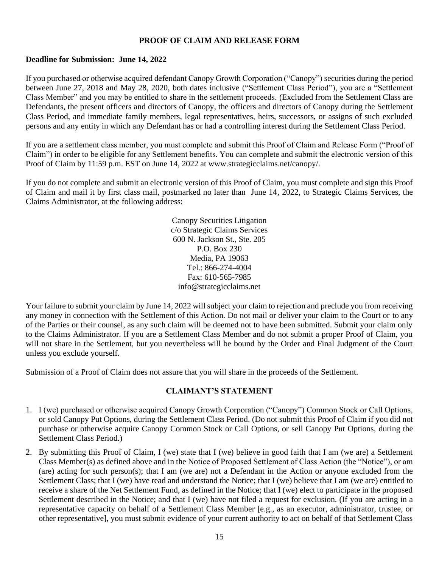## **PROOF OF CLAIM AND RELEASE FORM**

## **Deadline for Submission: June 14, 2022**

If you purchased or otherwise acquired defendant Canopy Growth Corporation ("Canopy") securities during the period between June 27, 2018 and May 28, 2020, both dates inclusive ("Settlement Class Period"), you are a "Settlement Class Member" and you may be entitled to share in the settlement proceeds. (Excluded from the Settlement Class are Defendants, the present officers and directors of Canopy, the officers and directors of Canopy during the Settlement Class Period, and immediate family members, legal representatives, heirs, successors, or assigns of such excluded persons and any entity in which any Defendant has or had a controlling interest during the Settlement Class Period.

If you are a settlement class member, you must complete and submit this Proof of Claim and Release Form ("Proof of Claim") in order to be eligible for any Settlement benefits. You can complete and submit the electronic version of this Proof of Claim by 11:59 p.m. EST on June 14, 2022 at www.strategicclaims.net/canopy/.

If you do not complete and submit an electronic version of this Proof of Claim, you must complete and sign this Proof of Claim and mail it by first class mail, postmarked no later than June 14, 2022, to Strategic Claims Services, the Claims Administrator, at the following address:

> Canopy Securities Litigation c/o Strategic Claims Services 600 N. Jackson St., Ste. 205 P.O. Box 230 Media, PA 19063 Tel.: 866-274-4004 Fax: 610-565-7985 info@strategicclaims.net

Your failure to submit your claim by June 14, 2022 will subject your claim to rejection and preclude you from receiving any money in connection with the Settlement of this Action. Do not mail or deliver your claim to the Court or to any of the Parties or their counsel, as any such claim will be deemed not to have been submitted. Submit your claim only to the Claims Administrator. If you are a Settlement Class Member and do not submit a proper Proof of Claim, you will not share in the Settlement, but you nevertheless will be bound by the Order and Final Judgment of the Court unless you exclude yourself.

Submission of a Proof of Claim does not assure that you will share in the proceeds of the Settlement.

# **CLAIMANT'S STATEMENT**

- 1. I (we) purchased or otherwise acquired Canopy Growth Corporation ("Canopy") Common Stock or Call Options, or sold Canopy Put Options, during the Settlement Class Period. (Do not submit this Proof of Claim if you did not purchase or otherwise acquire Canopy Common Stock or Call Options, or sell Canopy Put Options, during the Settlement Class Period.)
- 2. By submitting this Proof of Claim, I (we) state that I (we) believe in good faith that I am (we are) a Settlement Class Member(s) as defined above and in the Notice of Proposed Settlement of Class Action (the "Notice"), or am (are) acting for such person(s); that I am (we are) not a Defendant in the Action or anyone excluded from the Settlement Class; that I (we) have read and understand the Notice; that I (we) believe that I am (we are) entitled to receive a share of the Net Settlement Fund, as defined in the Notice; that I (we) elect to participate in the proposed Settlement described in the Notice; and that I (we) have not filed a request for exclusion. (If you are acting in a representative capacity on behalf of a Settlement Class Member [e.g., as an executor, administrator, trustee, or other representative], you must submit evidence of your current authority to act on behalf of that Settlement Class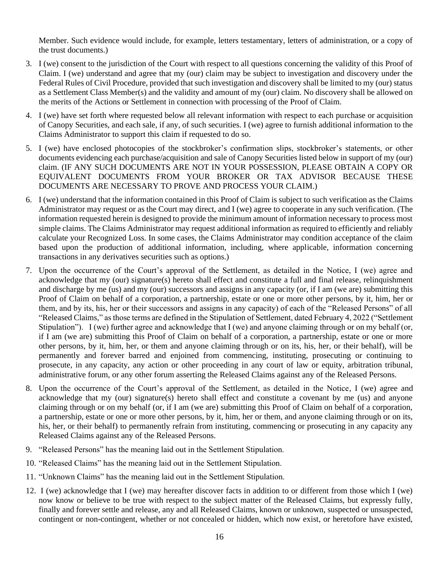Member. Such evidence would include, for example, letters testamentary, letters of administration, or a copy of the trust documents.)

- 3. I (we) consent to the jurisdiction of the Court with respect to all questions concerning the validity of this Proof of Claim. I (we) understand and agree that my (our) claim may be subject to investigation and discovery under the Federal Rules of Civil Procedure, provided that such investigation and discovery shall be limited to my (our) status as a Settlement Class Member(s) and the validity and amount of my (our) claim. No discovery shall be allowed on the merits of the Actions or Settlement in connection with processing of the Proof of Claim.
- 4. I (we) have set forth where requested below all relevant information with respect to each purchase or acquisition of Canopy Securities, and each sale, if any, of such securities. I (we) agree to furnish additional information to the Claims Administrator to support this claim if requested to do so.
- 5. I (we) have enclosed photocopies of the stockbroker's confirmation slips, stockbroker's statements, or other documents evidencing each purchase/acquisition and sale of Canopy Securities listed below in support of my (our) claim. (IF ANY SUCH DOCUMENTS ARE NOT IN YOUR POSSESSION, PLEASE OBTAIN A COPY OR EQUIVALENT DOCUMENTS FROM YOUR BROKER OR TAX ADVISOR BECAUSE THESE DOCUMENTS ARE NECESSARY TO PROVE AND PROCESS YOUR CLAIM.)
- 6. I (we) understand that the information contained in this Proof of Claim is subject to such verification as the Claims Administrator may request or as the Court may direct, and I (we) agree to cooperate in any such verification. (The information requested herein is designed to provide the minimum amount of information necessary to process most simple claims. The Claims Administrator may request additional information as required to efficiently and reliably calculate your Recognized Loss. In some cases, the Claims Administrator may condition acceptance of the claim based upon the production of additional information, including, where applicable, information concerning transactions in any derivatives securities such as options.)
- 7. Upon the occurrence of the Court's approval of the Settlement, as detailed in the Notice, I (we) agree and acknowledge that my (our) signature(s) hereto shall effect and constitute a full and final release, relinquishment and discharge by me (us) and my (our) successors and assigns in any capacity (or, if I am (we are) submitting this Proof of Claim on behalf of a corporation, a partnership, estate or one or more other persons, by it, him, her or them, and by its, his, her or their successors and assigns in any capacity) of each of the "Released Persons" of all "Released Claims," as those terms are defined in the Stipulation of Settlement, dated February 4, 2022 ("Settlement Stipulation"). I (we) further agree and acknowledge that I (we) and anyone claiming through or on my behalf (or, if I am (we are) submitting this Proof of Claim on behalf of a corporation, a partnership, estate or one or more other persons, by it, him, her, or them and anyone claiming through or on its, his, her, or their behalf), will be permanently and forever barred and enjoined from commencing, instituting, prosecuting or continuing to prosecute, in any capacity, any action or other proceeding in any court of law or equity, arbitration tribunal, administrative forum, or any other forum asserting the Released Claims against any of the Released Persons.
- 8. Upon the occurrence of the Court's approval of the Settlement, as detailed in the Notice, I (we) agree and acknowledge that my (our) signature(s) hereto shall effect and constitute a covenant by me (us) and anyone claiming through or on my behalf (or, if I am (we are) submitting this Proof of Claim on behalf of a corporation, a partnership, estate or one or more other persons, by it, him, her or them, and anyone claiming through or on its, his, her, or their behalf) to permanently refrain from instituting, commencing or prosecuting in any capacity any Released Claims against any of the Released Persons.
- 9. "Released Persons" has the meaning laid out in the Settlement Stipulation.
- 10. "Released Claims" has the meaning laid out in the Settlement Stipulation.
- 11. "Unknown Claims" has the meaning laid out in the Settlement Stipulation.
- 12. I (we) acknowledge that I (we) may hereafter discover facts in addition to or different from those which I (we) now know or believe to be true with respect to the subject matter of the Released Claims, but expressly fully, finally and forever settle and release, any and all Released Claims, known or unknown, suspected or unsuspected, contingent or non-contingent, whether or not concealed or hidden, which now exist, or heretofore have existed,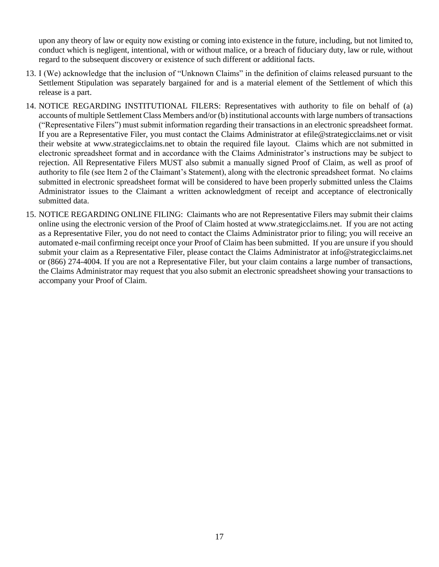upon any theory of law or equity now existing or coming into existence in the future, including, but not limited to, conduct which is negligent, intentional, with or without malice, or a breach of fiduciary duty, law or rule, without regard to the subsequent discovery or existence of such different or additional facts.

- 13. I (We) acknowledge that the inclusion of "Unknown Claims" in the definition of claims released pursuant to the Settlement Stipulation was separately bargained for and is a material element of the Settlement of which this release is a part.
- 14. NOTICE REGARDING INSTITUTIONAL FILERS: Representatives with authority to file on behalf of (a) accounts of multiple Settlement Class Members and/or (b) institutional accounts with large numbers of transactions ("Representative Filers") must submit information regarding their transactions in an electronic spreadsheet format. If you are a Representative Filer, you must contact the Claims Administrator at efile@strategicclaims.net or visit their website at www.strategicclaims.net to obtain the required file layout. Claims which are not submitted in electronic spreadsheet format and in accordance with the Claims Administrator's instructions may be subject to rejection. All Representative Filers MUST also submit a manually signed Proof of Claim, as well as proof of authority to file (see Item 2 of the Claimant's Statement), along with the electronic spreadsheet format. No claims submitted in electronic spreadsheet format will be considered to have been properly submitted unless the Claims Administrator issues to the Claimant a written acknowledgment of receipt and acceptance of electronically submitted data.
- 15. NOTICE REGARDING ONLINE FILING: Claimants who are not Representative Filers may submit their claims online using the electronic version of the Proof of Claim hosted at www.strategicclaims.net. If you are not acting as a Representative Filer, you do not need to contact the Claims Administrator prior to filing; you will receive an automated e-mail confirming receipt once your Proof of Claim has been submitted. If you are unsure if you should submit your claim as a Representative Filer, please contact the Claims Administrator at info@strategicclaims.net or (866) 274-4004. If you are not a Representative Filer, but your claim contains a large number of transactions, the Claims Administrator may request that you also submit an electronic spreadsheet showing your transactions to accompany your Proof of Claim.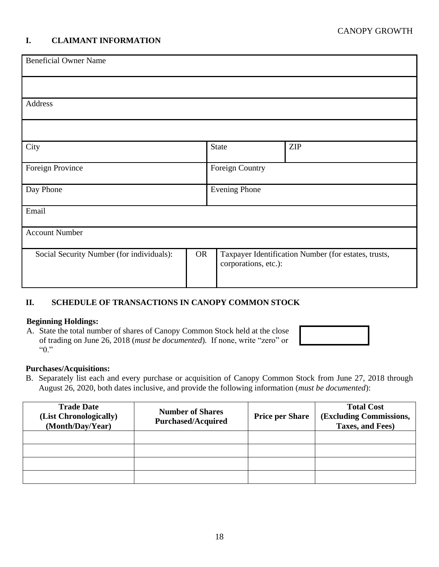# **I. CLAIMANT INFORMATION**

| <b>Beneficial Owner Name</b>                                                                                                           |  |                      |            |  |  |
|----------------------------------------------------------------------------------------------------------------------------------------|--|----------------------|------------|--|--|
|                                                                                                                                        |  |                      |            |  |  |
| Address                                                                                                                                |  |                      |            |  |  |
|                                                                                                                                        |  |                      |            |  |  |
| City                                                                                                                                   |  | <b>State</b>         | <b>ZIP</b> |  |  |
| Foreign Province                                                                                                                       |  | Foreign Country      |            |  |  |
| Day Phone                                                                                                                              |  | <b>Evening Phone</b> |            |  |  |
| Email                                                                                                                                  |  |                      |            |  |  |
| <b>Account Number</b>                                                                                                                  |  |                      |            |  |  |
| Social Security Number (for individuals):<br><b>OR</b><br>Taxpayer Identification Number (for estates, trusts,<br>corporations, etc.): |  |                      |            |  |  |

# **II. SCHEDULE OF TRANSACTIONS IN CANOPY COMMON STOCK**

#### **Beginning Holdings:**

A. State the total number of shares of Canopy Common Stock held at the close of trading on June 26, 2018 (*must be documented*)*.* If none, write "zero" or "0."

#### **Purchases/Acquisitions:**

B. Separately list each and every purchase or acquisition of Canopy Common Stock from June 27, 2018 through August 26, 2020, both dates inclusive, and provide the following information (*must be documented*):

| <b>Trade Date</b><br>(List Chronologically)<br>(Month/Day/Year) | <b>Number of Shares</b><br><b>Purchased/Acquired</b> | <b>Price per Share</b> | <b>Total Cost</b><br>(Excluding Commissions,<br>Taxes, and Fees) |
|-----------------------------------------------------------------|------------------------------------------------------|------------------------|------------------------------------------------------------------|
|                                                                 |                                                      |                        |                                                                  |
|                                                                 |                                                      |                        |                                                                  |
|                                                                 |                                                      |                        |                                                                  |
|                                                                 |                                                      |                        |                                                                  |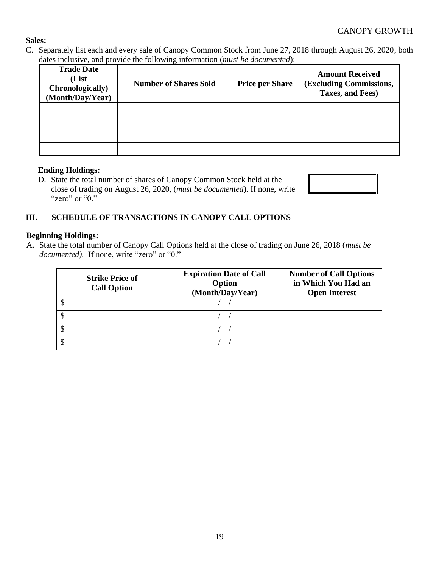# **Sales:**

C. Separately list each and every sale of Canopy Common Stock from June 27, 2018 through August 26, 2020, both dates inclusive, and provide the following information (*must be documented*):

| <b>Trade Date</b><br>(List<br>Chronologically)<br>(Month/Day/Year) | <b>Number of Shares Sold</b> | <b>Price per Share</b> | <b>Amount Received</b><br>(Excluding Commissions,<br>Taxes, and Fees) |
|--------------------------------------------------------------------|------------------------------|------------------------|-----------------------------------------------------------------------|
|                                                                    |                              |                        |                                                                       |
|                                                                    |                              |                        |                                                                       |
|                                                                    |                              |                        |                                                                       |
|                                                                    |                              |                        |                                                                       |

# **Ending Holdings:**

D. State the total number of shares of Canopy Common Stock held at the close of trading on August 26, 2020, (*must be documented*)*.* If none, write "zero" or "0."



# **III. SCHEDULE OF TRANSACTIONS IN CANOPY CALL OPTIONS**

# **Beginning Holdings:**

A. State the total number of Canopy Call Options held at the close of trading on June 26, 2018 (*must be*  documented). If none, write "zero" or "0."

| <b>Strike Price of</b><br><b>Call Option</b> | <b>Expiration Date of Call</b><br>Option<br>(Month/Day/Year) | <b>Number of Call Options</b><br>in Which You Had an<br><b>Open Interest</b> |
|----------------------------------------------|--------------------------------------------------------------|------------------------------------------------------------------------------|
|                                              |                                                              |                                                                              |
|                                              |                                                              |                                                                              |
|                                              |                                                              |                                                                              |
|                                              |                                                              |                                                                              |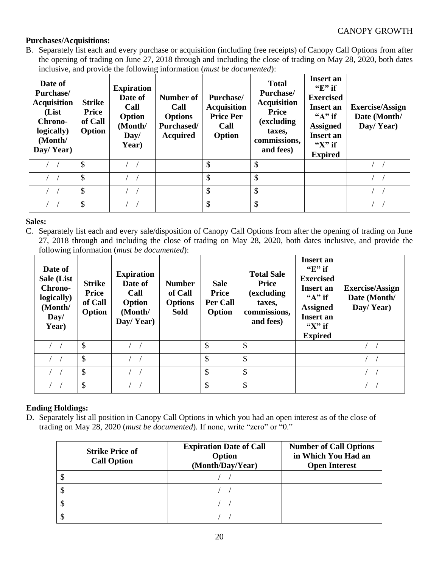# **Purchases/Acquisitions:**

B. Separately list each and every purchase or acquisition (including free receipts) of Canopy Call Options from after the opening of trading on June 27, 2018 through and including the close of trading on May 28, 2020, both dates inclusive, and provide the following information (*must be documented*):

| Date of<br><b>Purchase</b><br><b>Acquisition</b><br>(List<br>Chrono-<br>logically)<br>(Month/<br>Day/Year) | <b>Strike</b><br><b>Price</b><br>of Call<br>Option | <b>Expiration</b><br>Date of<br>Call<br>Option<br>(Month/<br>Day/<br>Year) | Number of<br>Call<br><b>Options</b><br><b>Purchased/</b><br><b>Acquired</b> | Purchase/<br><b>Acquisition</b><br><b>Price Per</b><br>Call<br>Option | <b>Total</b><br>Purchase/<br><b>Acquisition</b><br><b>Price</b><br>(excluding)<br>taxes,<br>commissions,<br>and fees) | <b>Insert an</b><br>" $E"$ if<br><b>Exercised</b><br><b>Insert an</b><br>" $A$ " if<br><b>Assigned</b><br><b>Insert an</b><br>" $X$ " if<br><b>Expired</b> | <b>Exercise/Assign</b><br>Date (Month/<br>Day/Year) |
|------------------------------------------------------------------------------------------------------------|----------------------------------------------------|----------------------------------------------------------------------------|-----------------------------------------------------------------------------|-----------------------------------------------------------------------|-----------------------------------------------------------------------------------------------------------------------|------------------------------------------------------------------------------------------------------------------------------------------------------------|-----------------------------------------------------|
|                                                                                                            | $\boldsymbol{\mathsf{S}}$                          |                                                                            |                                                                             | \$                                                                    | $\mathcal{S}$                                                                                                         |                                                                                                                                                            |                                                     |
| $\left( \quad \right)$                                                                                     | \$                                                 |                                                                            |                                                                             | \$                                                                    | $\mathcal{S}$                                                                                                         |                                                                                                                                                            |                                                     |
|                                                                                                            | $\mathcal{S}$                                      |                                                                            |                                                                             | \$                                                                    | $\mathcal{S}$                                                                                                         |                                                                                                                                                            |                                                     |
|                                                                                                            | \$                                                 |                                                                            |                                                                             | \$                                                                    | $\mathcal{S}$                                                                                                         |                                                                                                                                                            |                                                     |

# **Sales:**

C. Separately list each and every sale/disposition of Canopy Call Options from after the opening of trading on June 27, 2018 through and including the close of trading on May 28, 2020, both dates inclusive, and provide the following information (*must be documented*):

| Date of<br>Sale (List<br>Chrono-<br>logically)<br>(Month/<br>Day/<br>Year) | <b>Strike</b><br><b>Price</b><br>of Call<br>Option | <b>Expiration</b><br>Date of<br>Call<br>Option<br>(Month/<br>Day/Year) | <b>Number</b><br>of Call<br><b>Options</b><br><b>Sold</b> | <b>Sale</b><br><b>Price</b><br>Per Call<br>Option | <b>Total Sale</b><br><b>Price</b><br>(excluding)<br>taxes,<br>commissions,<br>and fees) | <b>Insert an</b><br>" $E"$ if<br><b>Exercised</b><br><b>Insert an</b><br>" $A$ " if<br><b>Assigned</b><br><b>Insert</b> an<br>" $X$ " if<br><b>Expired</b> | <b>Exercise/Assign</b><br>Date (Month/<br>Day/Year) |
|----------------------------------------------------------------------------|----------------------------------------------------|------------------------------------------------------------------------|-----------------------------------------------------------|---------------------------------------------------|-----------------------------------------------------------------------------------------|------------------------------------------------------------------------------------------------------------------------------------------------------------|-----------------------------------------------------|
|                                                                            | \$                                                 |                                                                        |                                                           | \$                                                | \$                                                                                      |                                                                                                                                                            |                                                     |
|                                                                            | \$                                                 |                                                                        |                                                           | \$                                                | \$                                                                                      |                                                                                                                                                            |                                                     |
|                                                                            | \$                                                 |                                                                        |                                                           | \$                                                | \$                                                                                      |                                                                                                                                                            |                                                     |
|                                                                            | \$                                                 |                                                                        |                                                           | \$                                                | \$                                                                                      |                                                                                                                                                            |                                                     |

# **Ending Holdings:**

D. Separately list all position in Canopy Call Options in which you had an open interest as of the close of trading on May 28, 2020 (*must be documented*)*.* If none, write "zero" or "0."

| <b>Strike Price of</b><br><b>Call Option</b> | <b>Expiration Date of Call</b><br>Option<br>(Month/Day/Year) | <b>Number of Call Options</b><br>in Which You Had an<br><b>Open Interest</b> |
|----------------------------------------------|--------------------------------------------------------------|------------------------------------------------------------------------------|
|                                              |                                                              |                                                                              |
|                                              |                                                              |                                                                              |
|                                              |                                                              |                                                                              |
|                                              |                                                              |                                                                              |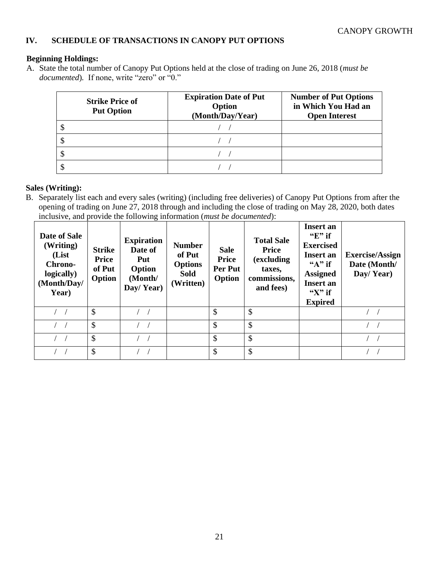# **IV. SCHEDULE OF TRANSACTIONS IN CANOPY PUT OPTIONS**

#### **Beginning Holdings:**

A. State the total number of Canopy Put Options held at the close of trading on June 26, 2018 (*must be documented*)*.* If none, write "zero" or "0."

| <b>Strike Price of</b><br><b>Put Option</b> | <b>Expiration Date of Put</b><br>Option<br>(Month/Day/Year) | <b>Number of Put Options</b><br>in Which You Had an<br><b>Open Interest</b> |
|---------------------------------------------|-------------------------------------------------------------|-----------------------------------------------------------------------------|
|                                             |                                                             |                                                                             |
|                                             |                                                             |                                                                             |
|                                             |                                                             |                                                                             |
|                                             |                                                             |                                                                             |

#### **Sales (Writing):**

B. Separately list each and every sales (writing) (including free deliveries) of Canopy Put Options from after the opening of trading on June 27, 2018 through and including the close of trading on May 28, 2020, both dates inclusive, and provide the following information (*must be documented*):

| Date of Sale<br>(Writing)<br>(List<br>Chrono-<br>logically)<br>(Month/Day/<br>Year) | <b>Strike</b><br>Price<br>of Put<br>Option | <b>Expiration</b><br>Date of<br>Put<br>Option<br>(Month/<br>Day/Year) | <b>Number</b><br>of Put<br><b>Options</b><br><b>Sold</b><br>(Written) | <b>Sale</b><br><b>Price</b><br>Per Put<br>Option | <b>Total Sale</b><br><b>Price</b><br>(excluding<br>taxes,<br>commissions,<br>and fees) | Insert an<br>" $E$ " if<br><b>Exercised</b><br><b>Insert an</b><br>" $A$ " if<br><b>Assigned</b><br><b>Insert an</b><br>" $X$ " if<br><b>Expired</b> | <b>Exercise/Assign</b><br>Date (Month/<br>Day/Year) |
|-------------------------------------------------------------------------------------|--------------------------------------------|-----------------------------------------------------------------------|-----------------------------------------------------------------------|--------------------------------------------------|----------------------------------------------------------------------------------------|------------------------------------------------------------------------------------------------------------------------------------------------------|-----------------------------------------------------|
|                                                                                     | \$                                         |                                                                       |                                                                       | \$                                               | \$                                                                                     |                                                                                                                                                      |                                                     |
|                                                                                     | $\mathcal{S}$                              |                                                                       |                                                                       | $\mathcal{S}$                                    | $\mathcal{S}$                                                                          |                                                                                                                                                      |                                                     |
|                                                                                     | \$                                         |                                                                       |                                                                       | $\mathcal{S}$                                    | \$                                                                                     |                                                                                                                                                      |                                                     |
|                                                                                     | \$                                         |                                                                       |                                                                       | $\mathcal{S}$                                    | $\mathcal{S}$                                                                          |                                                                                                                                                      |                                                     |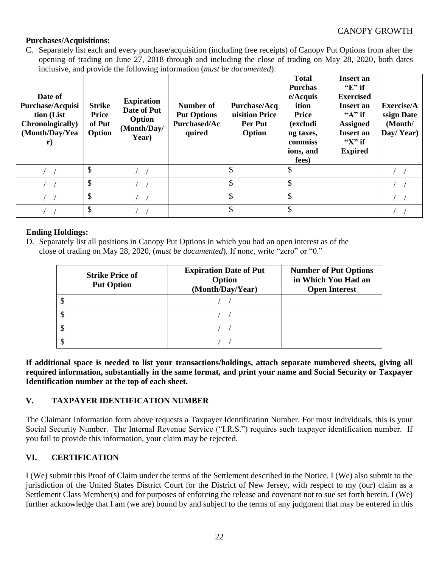# **Purchases/Acquisitions:**

C. Separately list each and every purchase/acquisition (including free receipts) of Canopy Put Options from after the opening of trading on June 27, 2018 through and including the close of trading on May 28, 2020, both dates inclusive, and provide the following information (*must be documented*):

| Date of<br>Purchase/Acquisi<br>tion (List<br><b>Chronologically</b> )<br>(Month/Day/Yea<br>$\mathbf{r})$ | <b>Strike</b><br>Price<br>of Put<br>Option | <b>Expiration</b><br>Date of Put<br>Option<br>(Month/Day/<br>Year) | Number of<br><b>Put Options</b><br><b>Purchased/Ac</b><br>quired | <b>Purchase/Acq</b><br>uisition Price<br>Per Put<br>Option | <b>Total</b><br><b>Purchas</b><br>e/Acquis<br>ition<br><b>Price</b><br>(excludi<br>ng taxes,<br>commiss<br>ions, and<br>fees) | <b>Insert an</b><br>" $E"$ if<br><b>Exercised</b><br><b>Insert an</b><br>" $A"$ if<br><b>Assigned</b><br><b>Insert an</b><br>" $X$ " if<br><b>Expired</b> | Exercise/A<br>ssign Date<br>(Month/<br>Day/Year) |
|----------------------------------------------------------------------------------------------------------|--------------------------------------------|--------------------------------------------------------------------|------------------------------------------------------------------|------------------------------------------------------------|-------------------------------------------------------------------------------------------------------------------------------|-----------------------------------------------------------------------------------------------------------------------------------------------------------|--------------------------------------------------|
|                                                                                                          | $\mathcal{S}$                              |                                                                    |                                                                  | \$                                                         | \$                                                                                                                            |                                                                                                                                                           |                                                  |
|                                                                                                          | \$                                         |                                                                    |                                                                  | \$                                                         | \$                                                                                                                            |                                                                                                                                                           |                                                  |
|                                                                                                          | $\mathcal{S}$                              |                                                                    |                                                                  | \$                                                         | \$                                                                                                                            |                                                                                                                                                           |                                                  |
|                                                                                                          | \$                                         |                                                                    |                                                                  | \$                                                         | \$                                                                                                                            |                                                                                                                                                           |                                                  |

# **Ending Holdings:**

D. Separately list all positions in Canopy Put Options in which you had an open interest as of the close of trading on May 28, 2020, (*must be documented*)*.* If none, write "zero" or "0."

| <b>Strike Price of</b><br><b>Put Option</b> | <b>Expiration Date of Put</b><br>Option<br>(Month/Day/Year) | <b>Number of Put Options</b><br>in Which You Had an<br><b>Open Interest</b> |
|---------------------------------------------|-------------------------------------------------------------|-----------------------------------------------------------------------------|
|                                             |                                                             |                                                                             |
|                                             |                                                             |                                                                             |
|                                             |                                                             |                                                                             |
|                                             |                                                             |                                                                             |

**If additional space is needed to list your transactions/holdings, attach separate numbered sheets, giving all required information, substantially in the same format, and print your name and Social Security or Taxpayer Identification number at the top of each sheet.**

# **V. TAXPAYER IDENTIFICATION NUMBER**

The Claimant Information form above requests a Taxpayer Identification Number. For most individuals, this is your Social Security Number. The Internal Revenue Service ("I.R.S.") requires such taxpayer identification number. If you fail to provide this information, your claim may be rejected.

# **VI. CERTIFICATION**

I (We) submit this Proof of Claim under the terms of the Settlement described in the Notice. I (We) also submit to the jurisdiction of the United States District Court for the District of New Jersey, with respect to my (our) claim as a Settlement Class Member(s) and for purposes of enforcing the release and covenant not to sue set forth herein. I (We) further acknowledge that I am (we are) bound by and subject to the terms of any judgment that may be entered in this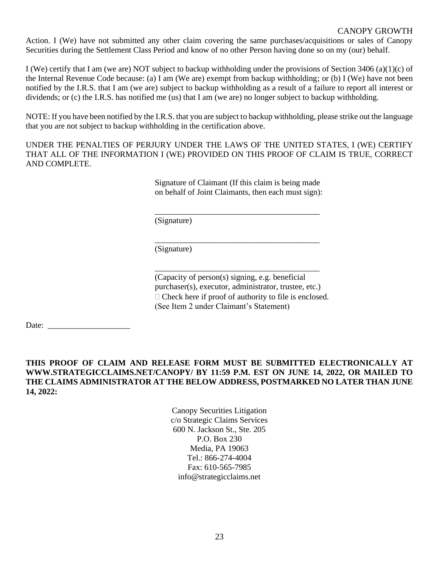## CANOPY GROWTH

Action. I (We) have not submitted any other claim covering the same purchases/acquisitions or sales of Canopy Securities during the Settlement Class Period and know of no other Person having done so on my (our) behalf.

I (We) certify that I am (we are) NOT subject to backup withholding under the provisions of Section 3406 (a)(1)(c) of the Internal Revenue Code because: (a) I am (We are) exempt from backup withholding; or (b) I (We) have not been notified by the I.R.S. that I am (we are) subject to backup withholding as a result of a failure to report all interest or dividends; or (c) the I.R.S. has notified me (us) that I am (we are) no longer subject to backup withholding.

NOTE: If you have been notified by the I.R.S. that you are subject to backup withholding, please strike out the language that you are not subject to backup withholding in the certification above.

UNDER THE PENALTIES OF PERJURY UNDER THE LAWS OF THE UNITED STATES, I (WE) CERTIFY THAT ALL OF THE INFORMATION I (WE) PROVIDED ON THIS PROOF OF CLAIM IS TRUE, CORRECT AND COMPLETE.

> Signature of Claimant (If this claim is being made on behalf of Joint Claimants, then each must sign):

\_\_\_\_\_\_\_\_\_\_\_\_\_\_\_\_\_\_\_\_\_\_\_\_\_\_\_\_\_\_\_\_\_\_\_\_\_\_\_\_

\_\_\_\_\_\_\_\_\_\_\_\_\_\_\_\_\_\_\_\_\_\_\_\_\_\_\_\_\_\_\_\_\_\_\_\_\_\_\_\_

\_\_\_\_\_\_\_\_\_\_\_\_\_\_\_\_\_\_\_\_\_\_\_\_\_\_\_\_\_\_\_\_\_\_\_\_\_\_\_\_

(Signature)

(Signature)

(Capacity of person(s) signing, e.g. beneficial purchaser(s), executor, administrator, trustee, etc.)  $\Box$  Check here if proof of authority to file is enclosed. (See Item 2 under Claimant's Statement)

Date: \_\_\_\_\_\_\_\_\_\_\_\_\_\_\_\_\_\_\_\_

# **THIS PROOF OF CLAIM AND RELEASE FORM MUST BE SUBMITTED ELECTRONICALLY AT WWW.STRATEGICCLAIMS.NET/CANOPY/ BY 11:59 P.M. EST ON JUNE 14, 2022, OR MAILED TO THE CLAIMS ADMINISTRATOR AT THE BELOW ADDRESS, POSTMARKED NO LATER THAN JUNE 14, 2022:**

Canopy Securities Litigation c/o Strategic Claims Services 600 N. Jackson St., Ste. 205 P.O. Box 230 Media, PA 19063 Tel.: 866-274-4004 Fax: 610-565-7985 info@strategicclaims.net